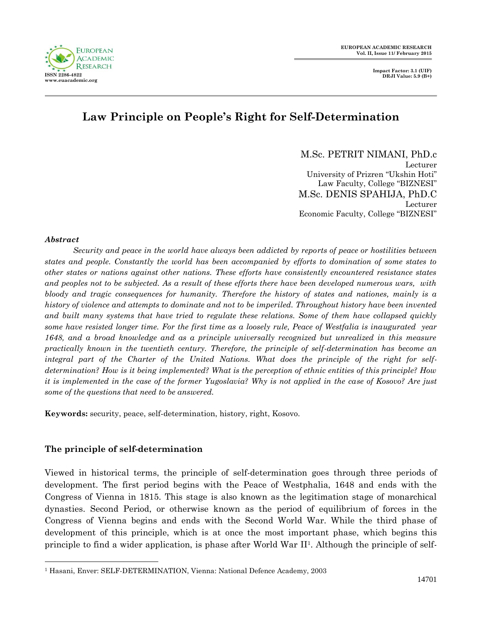



# **Law Principle on People's Right for Self-Determination**

M.Sc. PETRIT NIMANI, PhD.c Lecturer University of Prizren "Ukshin Hoti" Law Faculty, College "BIZNESI" M.Sc. DENIS SPAHIJA, PhD.C Lecturer Economic Faculty, College "BIZNESI"

#### *Abstract*

 $\overline{a}$ 

*Security and peace in the world have always been addicted by reports of peace or hostilities between states and people. Constantly the world has been accompanied by efforts to domination of some states to other states or nations against other nations. These efforts have consistently encountered resistance states and peoples not to be subjected. As a result of these efforts there have been developed numerous wars, with bloody and tragic consequences for humanity. Therefore the history of states and nationes, mainly is a history of violence and attempts to dominate and not to be imperiled. Throughout history have been invented and built many systems that have tried to regulate these relations. Some of them have collapsed quickly some have resisted longer time. For the first time as a loosely rule, Peace of Westfalia is inaugurated year 1648, and a broad knowledge and as a principle universally recognized but unrealized in this measure practically known in the twentieth century. Therefore, the principle of self-determination has become an integral part of the Charter of the United Nations. What does the principle of the right for selfdetermination? How is it being implemented? What is the perception of ethnic entities of this principle? How it is implemented in the case of the former Yugoslavia? Why is not applied in the case of Kosovo? Are just some of the questions that need to be answered.*

**Keywords:** security, peace, self-determination, history, right, Kosovo.

## **The principle of self-determination**

Viewed in historical terms, the principle of self-determination goes through three periods of development. The first period begins with the Peace of Westphalia, 1648 and ends with the Congress of Vienna in 1815. This stage is also known as the legitimation stage of monarchical dynasties. Second Period, or otherwise known as the period of equilibrium of forces in the Congress of Vienna begins and ends with the Second World War. While the third phase of development of this principle, which is at once the most important phase, which begins this principle to find a wider application, is phase after World War II<sup>1</sup>. Although the principle of self-

<sup>&</sup>lt;sup>1</sup> Hasani, Enver: SELF-DETERMINATION, Vienna: National Defence Academy, 2003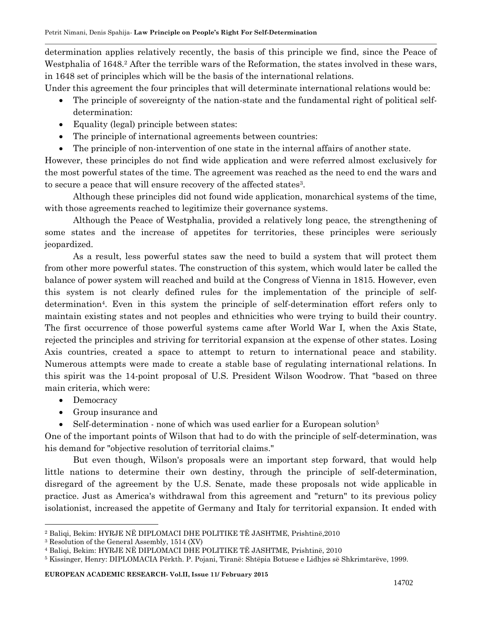determination applies relatively recently, the basis of this principle we find, since the Peace of Westphalia of 1648.<sup>2</sup> After the terrible wars of the Reformation, the states involved in these wars, in 1648 set of principles which will be the basis of the international relations.

Under this agreement the four principles that will determinate international relations would be:

- The principle of sovereignty of the nation-state and the fundamental right of political selfdetermination:
- Equality (legal) principle between states:
- The principle of international agreements between countries:
- The principle of non-intervention of one state in the internal affairs of another state.

However, these principles do not find wide application and were referred almost exclusively for the most powerful states of the time. The agreement was reached as the need to end the wars and to secure a peace that will ensure recovery of the affected states<sup>3</sup>.

Although these principles did not found wide application, monarchical systems of the time, with those agreements reached to legitimize their governance systems.

Although the Peace of Westphalia, provided a relatively long peace, the strengthening of some states and the increase of appetites for territories, these principles were seriously jeopardized.

As a result, less powerful states saw the need to build a system that will protect them from other more powerful states. The construction of this system, which would later be called the balance of power system will reached and build at the Congress of Vienna in 1815. However, even this system is not clearly defined rules for the implementation of the principle of selfdetermination<sup>4</sup>. Even in this system the principle of self-determination effort refers only to maintain existing states and not peoples and ethnicities who were trying to build their country. The first occurrence of those powerful systems came after World War I, when the Axis State, rejected the principles and striving for territorial expansion at the expense of other states. Losing Axis countries, created a space to attempt to return to international peace and stability. Numerous attempts were made to create a stable base of regulating international relations. In this spirit was the 14-point proposal of U.S. President Wilson Woodrow. That "based on three main criteria, which were:

- Democracy
- Group insurance and
- Self-determination none of which was used earlier for a European solution<sup>5</sup>

One of the important points of Wilson that had to do with the principle of self-determination, was his demand for "objective resolution of territorial claims."

But even though, Wilson's proposals were an important step forward, that would help little nations to determine their own destiny, through the principle of self-determination, disregard of the agreement by the U.S. Senate, made these proposals not wide applicable in practice. Just as America's withdrawal from this agreement and "return" to its previous policy isolationist, increased the appetite of Germany and Italy for territorial expansion. It ended with

 $\overline{a}$ <sup>2</sup> Baliqi, Bekim: HYRJE NË DIPLOMACI DHE POLITIKE TË JASHTME, Prishtinë,2010

<sup>3</sup> Resolution of the General Assembly, 1514 (XV)

<sup>4</sup> Baliqi, Bekim: HYRJE NË DIPLOMACI DHE POLITIKE TË JASHTME, Prishtinë, 2010

<sup>5</sup> Kissinger, Henry: DIPLOMACIA Përkth. P. Pojani, Tiranë: Shtëpia Botuese e Lidhjes së Shkrimtarëve, 1999.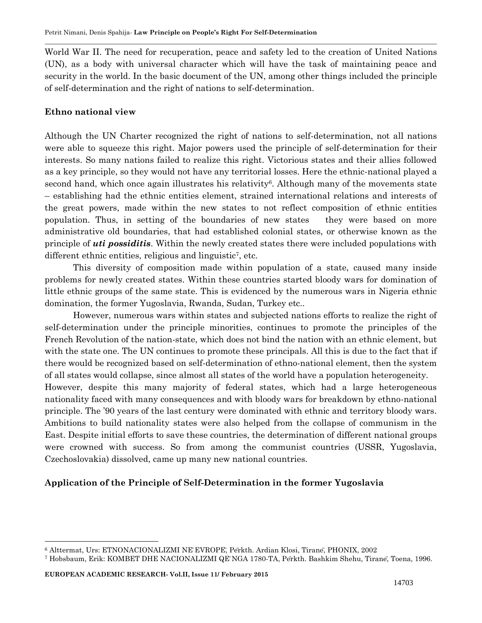World War II. The need for recuperation, peace and safety led to the creation of United Nations (UN), as a body with universal character which will have the task of maintaining peace and security in the world. In the basic document of the UN, among other things included the principle of self-determination and the right of nations to self-determination.

#### **Ethno national view**

Although the UN Charter recognized the right of nations to self-determination, not all nations were able to squeeze this right. Major powers used the principle of self-determination for their interests. So many nations failed to realize this right. Victorious states and their allies followed as a key principle, so they would not have any territorial losses. Here the ethnic-national played a second hand, which once again illustrates his relativity<sup>6</sup>. Although many of the movements state – establishing had the ethnic entities element, strained international relations and interests of the great powers, made within the new states to not reflect composition of ethnic entities population. Thus, in setting of the boundaries of new states they were based on more administrative old boundaries, that had established colonial states, or otherwise known as the principle of *uti possiditis*. Within the newly created states there were included populations with different ethnic entities, religious and linguistic<sup>7</sup>, etc.

This diversity of composition made within population of a state, caused many inside problems for newly created states. Within these countries started bloody wars for domination of little ethnic groups of the same state. This is evidenced by the numerous wars in Nigeria ethnic domination, the former Yugoslavia, Rwanda, Sudan, Turkey etc..

However, numerous wars within states and subjected nations efforts to realize the right of self-determination under the principle minorities, continues to promote the principles of the French Revolution of the nation-state, which does not bind the nation with an ethnic element, but with the state one. The UN continues to promote these principals. All this is due to the fact that if there would be recognized based on self-determination of ethno-national element, then the system of all states would collapse, since almost all states of the world have a population heterogeneity. However, despite this many majority of federal states, which had a large heterogeneous nationality faced with many consequences and with bloody wars for breakdown by ethno-national principle. The '90 years of the last century were dominated with ethnic and territory bloody wars. Ambitions to build nationality states were also helped from the collapse of communism in the East. Despite initial efforts to save these countries, the determination of different national groups

were crowned with success. So from among the communist countries (USSR, Yugoslavia, Czechoslovakia) dissolved, came up many new national countries.

## **Application of the Principle of Self-Determination in the former Yugoslavia**

 $\overline{a}$ 

<sup>&</sup>lt;sup>6</sup> Alttermat, Urs: ETNONACIONALIZMI NE EVROPE, Perkth. Ardian Klosi, Tirane, PHONIX, 2002

<sup>&</sup>lt;sup>7</sup> Hobsbaum, Erik: KOMBET DHE NACIONALIZMI QE NGA 1780-TA, Perkth. Bashkim Shehu, Tirane, Toena, 1996.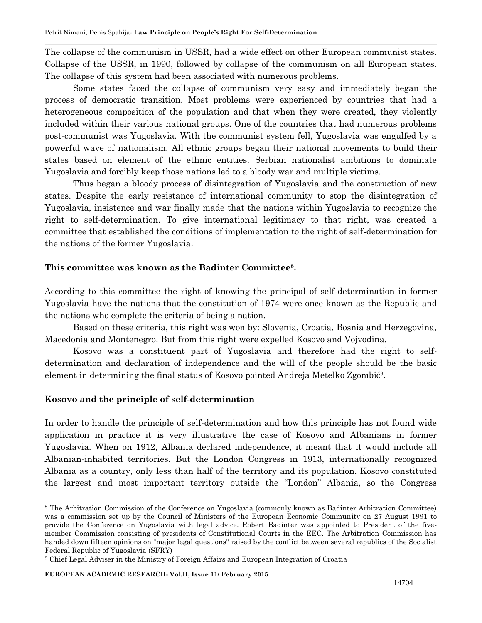The collapse of the communism in USSR, had a wide effect on other European communist states. Collapse of the USSR, in 1990, followed by collapse of the communism on all European states. The collapse of this system had been associated with numerous problems.

Some states faced the collapse of communism very easy and immediately began the process of democratic transition. Most problems were experienced by countries that had a heterogeneous composition of the population and that when they were created, they violently included within their various national groups. One of the countries that had numerous problems post-communist was Yugoslavia. With the communist system fell, Yugoslavia was engulfed by a powerful wave of nationalism. All ethnic groups began their national movements to build their states based on element of the ethnic entities. Serbian nationalist ambitions to dominate Yugoslavia and forcibly keep those nations led to a bloody war and multiple victims.

Thus began a bloody process of disintegration of Yugoslavia and the construction of new states. Despite the early resistance of international community to stop the disintegration of Yugoslavia, insistence and war finally made that the nations within Yugoslavia to recognize the right to self-determination. To give international legitimacy to that right, was created a committee that established the conditions of implementation to the right of self-determination for the nations of the former Yugoslavia.

#### **This committee was known as the Badinter Committee<sup>8</sup> .**

According to this committee the right of knowing the principal of self-determination in former Yugoslavia have the nations that the constitution of 1974 were once known as the Republic and the nations who complete the criteria of being a nation.

Based on these criteria, this right was won by: Slovenia, Croatia, Bosnia and Herzegovina, Macedonia and Montenegro. But from this right were expelled Kosovo and Vojvodina.

Kosovo was a constituent part of Yugoslavia and therefore had the right to selfdetermination and declaration of independence and the will of the people should be the basic element in determining the final status of Kosovo pointed Andreja Metelko Zgombić<sup>9</sup> .

#### **Kosovo and the principle of self-determination**

 $\overline{a}$ 

In order to handle the principle of self-determination and how this principle has not found wide application in practice it is very illustrative the case of Kosovo and Albanians in former Yugoslavia. When on 1912, Albania declared independence, it meant that it would include all Albanian-inhabited territories. But the London Congress in 1913, internationally recognized Albania as a country, only less than half of the territory and its population. Kosovo constituted the largest and most important territory outside the "London" Albania, so the Congress

<sup>8</sup> The Arbitration Commission of the Conference on Yugoslavia (commonly known as Badinter Arbitration Committee) was a commission set up by the Council of Ministers of the European Economic Community on 27 August 1991 to provide the Conference on Yugoslavia with legal advice. Robert Badinter was appointed to President of the fivemember Commission consisting of presidents of Constitutional Courts in the EEC. The Arbitration Commission has handed down fifteen opinions on "major legal questions" raised by the conflict between several republics of the Socialist Federal Republic of Yugoslavia (SFRY)

<sup>9</sup> Chief Legal Adviser in the Ministry of Foreign Affairs and European Integration of Croatia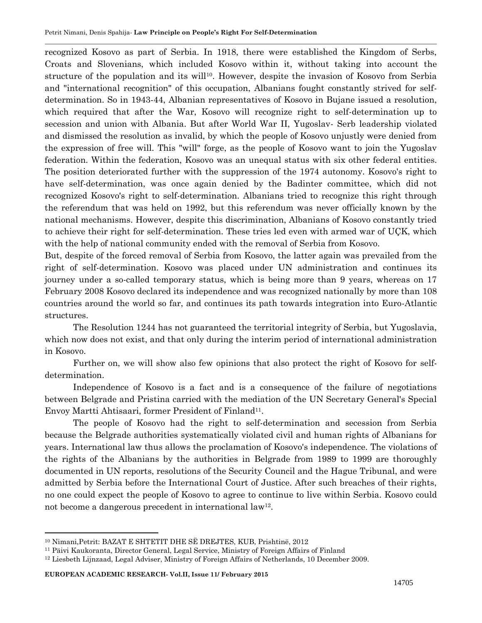recognized Kosovo as part of Serbia. In 1918, there were established the Kingdom of Serbs, Croats and Slovenians, which included Kosovo within it, without taking into account the structure of the population and its will<sup>10</sup>. However, despite the invasion of Kosovo from Serbia and "international recognition" of this occupation, Albanians fought constantly strived for selfdetermination. So in 1943-44, Albanian representatives of Kosovo in Bujane issued a resolution, which required that after the War, Kosovo will recognize right to self-determination up to secession and union with Albania. But after World War II, Yugoslav- Serb leadership violated and dismissed the resolution as invalid, by which the people of Kosovo unjustly were denied from the expression of free will. This "will" forge, as the people of Kosovo want to join the Yugoslav federation. Within the federation, Kosovo was an unequal status with six other federal entities. The position deteriorated further with the suppression of the 1974 autonomy. Kosovo's right to have self-determination, was once again denied by the Badinter committee, which did not recognized Kosovo's right to self-determination. Albanians tried to recognize this right through the referendum that was held on 1992, but this referendum was never officially known by the national mechanisms. However, despite this discrimination, Albanians of Kosovo constantly tried to achieve their right for self-determination. These tries led even with armed war of UÇK, which with the help of national community ended with the removal of Serbia from Kosovo.

But, despite of the forced removal of Serbia from Kosovo, the latter again was prevailed from the right of self-determination. Kosovo was placed under UN administration and continues its journey under a so-called temporary status, which is being more than 9 years, whereas on 17 February 2008 Kosovo declared its independence and was recognized nationally by more than 108 countries around the world so far, and continues its path towards integration into Euro-Atlantic structures.

The Resolution 1244 has not guaranteed the territorial integrity of Serbia, but Yugoslavia, which now does not exist, and that only during the interim period of international administration in Kosovo.

Further on, we will show also few opinions that also protect the right of Kosovo for selfdetermination.

Independence of Kosovo is a fact and is a consequence of the failure of negotiations between Belgrade and Pristina carried with the mediation of the UN Secretary General's Special Envoy Martti Ahtisaari, former President of Finland<sup>11</sup>.

The people of Kosovo had the right to self-determination and secession from Serbia because the Belgrade authorities systematically violated civil and human rights of Albanians for years. International law thus allows the proclamation of Kosovo's independence. The violations of the rights of the Albanians by the authorities in Belgrade from 1989 to 1999 are thoroughly documented in UN reports, resolutions of the Security Council and the Hague Tribunal, and were admitted by Serbia before the International Court of Justice. After such breaches of their rights, no one could expect the people of Kosovo to agree to continue to live within Serbia. Kosovo could not become a dangerous precedent in international law<sup>12</sup>.

 $\overline{a}$ 

<sup>10</sup> Nimani,Petrit: BAZAT E SHTETIT DHE SË DREJTES, KUB, Prishtinë, 2012

<sup>11</sup> Päivi Kaukoranta, Director General, Legal Service, Ministry of Foreign Affairs of Finland

<sup>12</sup> Liesbeth Lijnzaad, Legal Adviser, Ministry of Foreign Affairs of Netherlands, 10 December 2009.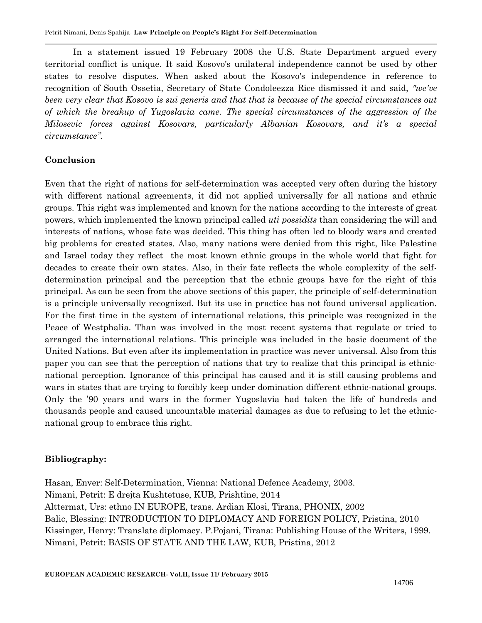In a statement issued 19 February 2008 the U.S. State Department argued every territorial conflict is unique. It said Kosovo's unilateral independence cannot be used by other states to resolve disputes. When asked about the Kosovo's independence in reference to recognition of South Ossetia, Secretary of State Condoleezza Rice dismissed it and said, *"we've been very clear that Kosovo is sui generis and that that is because of the special circumstances out of which the breakup of Yugoslavia came. The special circumstances of the aggression of the Milosevic forces against Kosovars, particularly Albanian Kosovars, and it's a special circumstance".*

# **Conclusion**

Even that the right of nations for self-determination was accepted very often during the history with different national agreements, it did not applied universally for all nations and ethnic groups. This right was implemented and known for the nations according to the interests of great powers, which implemented the known principal called *uti possidits* than considering the will and interests of nations, whose fate was decided. This thing has often led to bloody wars and created big problems for created states. Also, many nations were denied from this right, like Palestine and Israel today they reflect the most known ethnic groups in the whole world that fight for decades to create their own states. Also, in their fate reflects the whole complexity of the selfdetermination principal and the perception that the ethnic groups have for the right of this principal. As can be seen from the above sections of this paper, the principle of self-determination is a principle universally recognized. But its use in practice has not found universal application. For the first time in the system of international relations, this principle was recognized in the Peace of Westphalia. Than was involved in the most recent systems that regulate or tried to arranged the international relations. This principle was included in the basic document of the United Nations. But even after its implementation in practice was never universal. Also from this paper you can see that the perception of nations that try to realize that this principal is ethnicnational perception. Ignorance of this principal has caused and it is still causing problems and wars in states that are trying to forcibly keep under domination different ethnic-national groups. Only the '90 years and wars in the former Yugoslavia had taken the life of hundreds and thousands people and caused uncountable material damages as due to refusing to let the ethnicnational group to embrace this right.

## **Bibliography:**

Hasan, Enver: Self-Determination, Vienna: National Defence Academy, 2003. Nimani, Petrit: E drejta Kushtetuse, KUB, Prishtine, 2014 Alttermat, Urs: ethno IN EUROPE, trans. Ardian Klosi, Tirana, PHONIX, 2002 Balic, Blessing: INTRODUCTION TO DIPLOMACY AND FOREIGN POLICY, Pristina, 2010 Kissinger, Henry: Translate diplomacy. P.Pojani, Tirana: Publishing House of the Writers, 1999. Nimani, Petrit: BASIS OF STATE AND THE LAW, KUB, Pristina, 2012